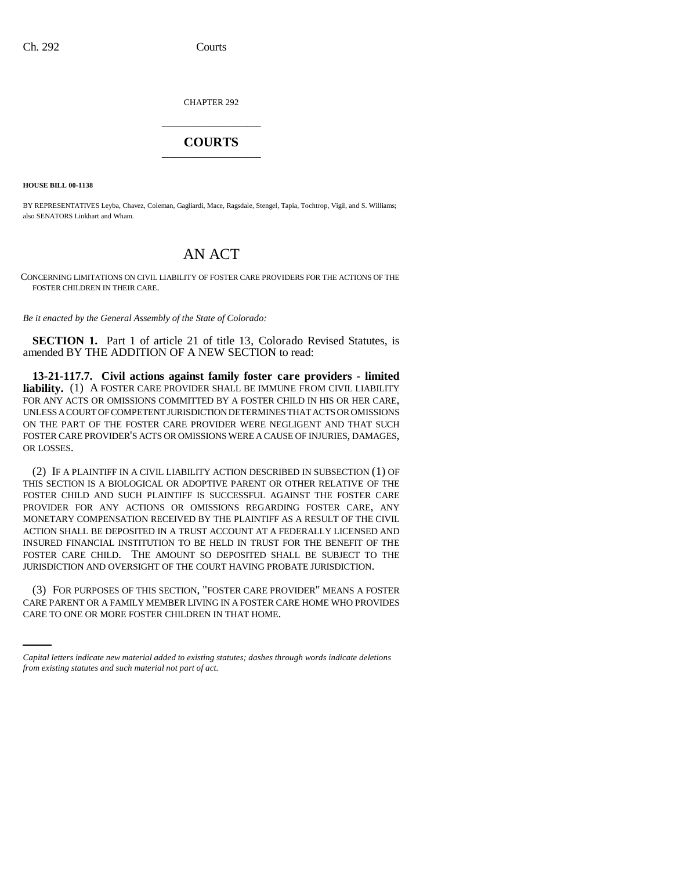CHAPTER 292 \_\_\_\_\_\_\_\_\_\_\_\_\_\_\_

## **COURTS** \_\_\_\_\_\_\_\_\_\_\_\_\_\_\_

**HOUSE BILL 00-1138** 

BY REPRESENTATIVES Leyba, Chavez, Coleman, Gagliardi, Mace, Ragsdale, Stengel, Tapia, Tochtrop, Vigil, and S. Williams; also SENATORS Linkhart and Wham.

## AN ACT

CONCERNING LIMITATIONS ON CIVIL LIABILITY OF FOSTER CARE PROVIDERS FOR THE ACTIONS OF THE FOSTER CHILDREN IN THEIR CARE.

*Be it enacted by the General Assembly of the State of Colorado:*

**SECTION 1.** Part 1 of article 21 of title 13, Colorado Revised Statutes, is amended BY THE ADDITION OF A NEW SECTION to read:

**13-21-117.7. Civil actions against family foster care providers - limited liability.** (1) A FOSTER CARE PROVIDER SHALL BE IMMUNE FROM CIVIL LIABILITY FOR ANY ACTS OR OMISSIONS COMMITTED BY A FOSTER CHILD IN HIS OR HER CARE, UNLESS A COURT OF COMPETENT JURISDICTION DETERMINES THAT ACTS OR OMISSIONS ON THE PART OF THE FOSTER CARE PROVIDER WERE NEGLIGENT AND THAT SUCH FOSTER CARE PROVIDER'S ACTS OR OMISSIONS WERE A CAUSE OF INJURIES, DAMAGES, OR LOSSES.

(2) IF A PLAINTIFF IN A CIVIL LIABILITY ACTION DESCRIBED IN SUBSECTION (1) OF THIS SECTION IS A BIOLOGICAL OR ADOPTIVE PARENT OR OTHER RELATIVE OF THE FOSTER CHILD AND SUCH PLAINTIFF IS SUCCESSFUL AGAINST THE FOSTER CARE PROVIDER FOR ANY ACTIONS OR OMISSIONS REGARDING FOSTER CARE, ANY MONETARY COMPENSATION RECEIVED BY THE PLAINTIFF AS A RESULT OF THE CIVIL ACTION SHALL BE DEPOSITED IN A TRUST ACCOUNT AT A FEDERALLY LICENSED AND INSURED FINANCIAL INSTITUTION TO BE HELD IN TRUST FOR THE BENEFIT OF THE FOSTER CARE CHILD. THE AMOUNT SO DEPOSITED SHALL BE SUBJECT TO THE JURISDICTION AND OVERSIGHT OF THE COURT HAVING PROBATE JURISDICTION.

(3) FOR PURPOSES OF THIS SECTION, "FOSTER CARE PROVIDER" MEANS A FOSTER CARE PARENT OR A FAMILY MEMBER LIVING IN A FOSTER CARE HOME WHO PROVIDES CARE TO ONE OR MORE FOSTER CHILDREN IN THAT HOME.

*Capital letters indicate new material added to existing statutes; dashes through words indicate deletions from existing statutes and such material not part of act.*